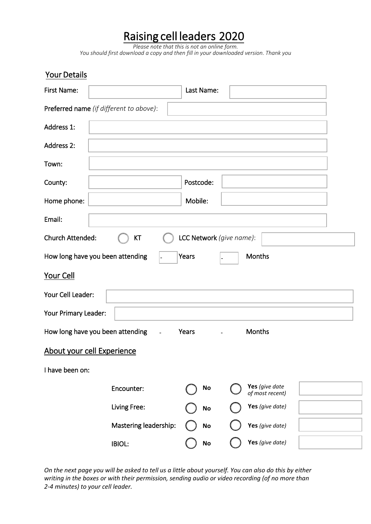## Raising cell leaders 2020

*Please note that this is not an online form. You should first download a copy and then fill in your downloaded version. Thank you*

| Your Details                                              |                       |            |                                   |  |
|-----------------------------------------------------------|-----------------------|------------|-----------------------------------|--|
| First Name:                                               |                       | Last Name: |                                   |  |
| Preferred name (if different to above):                   |                       |            |                                   |  |
| Address 1:                                                |                       |            |                                   |  |
| <b>Address 2:</b>                                         |                       |            |                                   |  |
| Town:                                                     |                       |            |                                   |  |
| County:                                                   |                       | Postcode:  |                                   |  |
| Home phone:                                               |                       | Mobile:    |                                   |  |
| Email:                                                    |                       |            |                                   |  |
| LCC Network (give name):<br><b>Church Attended:</b><br>KT |                       |            |                                   |  |
| How long have you been attending<br>Months<br>Years       |                       |            |                                   |  |
| Your Cell                                                 |                       |            |                                   |  |
| Your Cell Leader:                                         |                       |            |                                   |  |
| Your Primary Leader:                                      |                       |            |                                   |  |
| How long have you been attending                          | $\omega$              | Years      | <b>Months</b>                     |  |
| About your cell Experience                                |                       |            |                                   |  |
| I have been on:                                           |                       |            |                                   |  |
|                                                           | Encounter:            | No         | Yes (give date<br>of most recent) |  |
|                                                           | Living Free:          | <b>No</b>  | Yes (give date)                   |  |
|                                                           | Mastering leadership: | <b>No</b>  | Yes (give date)                   |  |
|                                                           | <b>IBIOL:</b>         | No         | Yes (give date)                   |  |

*On the next page you will be asked to tell us a little about yourself. You can also do this by either writing in the boxes or with their permission, sending audio or video recording (of no more than 2-4 minutes) to your cell leader.*